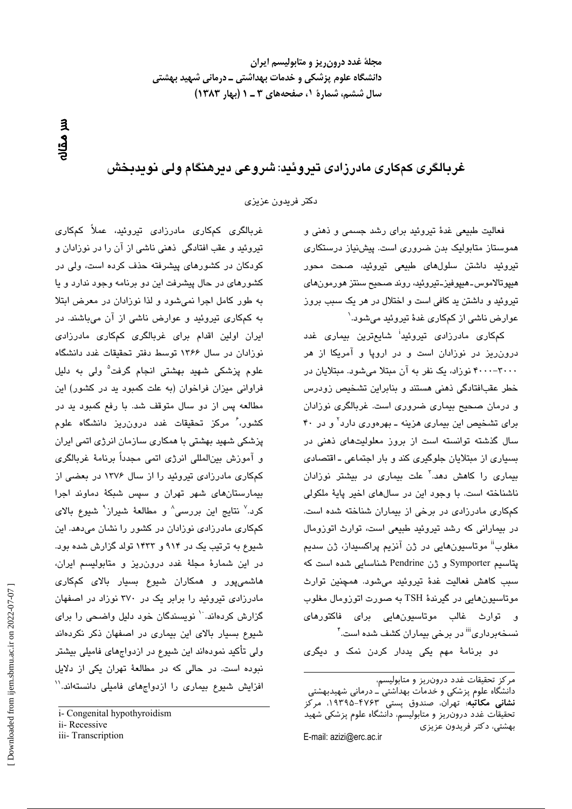مجلهٔ غدد درون ریز و متابولیسم ایران دانشگاه علوم پزشکی و خدمات بهداشتی ــ درمانی شهید بهشتی سال ششم، شمارة ١، صفحههای ٣ ـ ١ (بهار ١٣٨٣)

ul Gallo

## غربالگری کمکاری مادرزادی تیروئید: شروعی دیرهنگام ولی نویدبخش

دكتر فريدون عزيزي

فعالیت طبیعی غدهٔ تیروئید برای رشد جسمی و ذهنی و هموستاز متابولیک بدن ضروری است. پیشنیاز درستکاری تيروئيد داشتن سلولها*ی* طبيعی تيروئيد، صحت محور هيپوتالاموس۔هيپوفيز۔تيروئيد، روند صحيح سنتز هورمونهای تیروئید و داشتن بد کافی است و اختلال در هر یک سبب بروز عوارض ناشی از کمکاری غدهٔ تیروئید میشود.`

کمکاری مادرزادی تیروئید<sup>ا</sup> شایعترین بیماری غدد درون ریز در نوزادان است و در اروپا و آمریکا از هر ۴۰۰۰--۳۰۰۰ نوزاد، یک نفر به آن مبتلا میشود. مبتلایان در خطر عقبافتادگی ذهنی هستند و بنابراین تشخیص زودرس و درمان صحیح بیماری ضروری است. غربالگری نوزادان برای تشخیص این بیماری هزینه ــ بهرهوری دارد<sup>۲</sup> و در ۴۰ سال گذشته توانسته است از بروز معلولیتهای ذهنی در بسیاری از مبتلایان جلوگیری کند و بار اجتماعی ـ اقتصادی بیمار*ی* را کاهش دهد.<sup>۳</sup> علت بیماری در بیشتر نوزادان ناشناخته است. با وجود این در سالهای اخیر پایهٔ ملکولی کمکاری مادرزادی در برخی از بیماران شناخته شده است. در بیمارانی که رشد تیروئید طبیعی است، توارث اتوزومال مغلوب<sup>اًا</sup> موتاسیونهایی در ژن آنزیم پراکسیداز، ژن سدیم پتاسيم Symporter و ژن Pendrine شناسايي شده است كه سبب كاهش فعاليت غدهٔ تيروئيد مى شود. همچنين توارث موتاسيونهايي در گيرندۀ TSH به صورت اتوزومال مغلوب و توارث غالب موتاسيونھايي برا*ي* فاکتورھا*ي* نسخهبرداری<sup>iii</sup> در برخی بیماران کشف شده است.<sup>۴</sup>

دو برنامهٔ مهم یکی بددار کردن نمک و دیگری

دانشگاه علوم پزشکی و خدمات بهداشتی ٰـ درمانی شهیدبهشتی **نشانی مکاتبه**: تهران، صندوق پستی ۴۷۶۳–۱۹۳۹۵، مرکز تحقيقات غدد درون٫يز و متابوليسم، دانشگاه علوم پزشكى شهيد بهشتی، دکتر فریدون عزیزی E-mail: azizi@erc.ac.ir

غربالگری کمکاری مادرزادی تیروئید، عملاً کمکاری تیروئید و عقب افتادگی ذهنی ناشی از آن را در نوزادان و کودکان در کشورهای پیشرفته حذف کرده است، ولی در کشورهای در حال پیشرفت این دو برنامه وجود ندارد و یا به طور كامل اجرا نمى شود و لذا نوزادان در معرض ابتلا به کمکاری تیروئید و عوارض ناشی از آن میباشند. در ایران اولین اقدام برای غربالگری کمکاری مادرزادی نوزادان در سال ۱۳۶۶ توسط دفتر تحقیقات غدد دانشگاه علوم پزشکی شهید بهشتی انجام گرفت<sup>۵</sup> ولی به دلیل فراوانی میزان فراخوان (به علت کمبود ید در کشور) این مطالعه پس از دو سال متوقف شد. با رفع کمبود پد در کشور، ٔ مرکز تحقیقات غدد درون٫یز دانشگاه علوم پزشکی شهید بهشتی با همکاری سازمان انرژی اتمی ایران و آموزش بينالمللي انرژي اتمي مجدداً برنامهٔ غربالگري کمکاری مادرزادی تیروئید را از سال ۱۳۷۶ در بعضی از بیمارستانهای شهر تهران و سپس شبکهٔ دماوند اجرا کرد.<sup>۷</sup> نتایج این بررسی<sup>۸</sup> و مطالعهٔ شیراز<sup>۹</sup> شیوع بالای کمکاری مادرزادی نوزادان در کشور را نشان میدهد. این شیوع به ترتیب یک در ۹۱۴ و ۱۴۳۳ تولد گزارش شده بود. در این شمارهٔ مجلهٔ غدد درون٫ریز و متابولیسم ایران، هاشمی،پور و همکاران شیوع بسیار بالای کمکاری مادرزادی تیروئید را برابر یک در ۳۷۰ نوزاد در اصفهان گزارش کردهاند. `` نویسندگان خود دلیل واضحی را برای شیوع بسیار بالای این بیماری در اصفهان ذکر نکردهاند ولی تأکید نمودهاند این شیوع در ازدواجهای فامیلی بیشتر .<br>نبوده است. در حالی که در مطالعهٔ تهران یکی از دلایل افزایش شیوع بیماری را ازدواجهای فامیلی دانستهاند.''

iii-Transcription

مركز تحقيقات غدد درون ريز و متابوليسم،

i- Congenital hypothyroidism ii-Recessive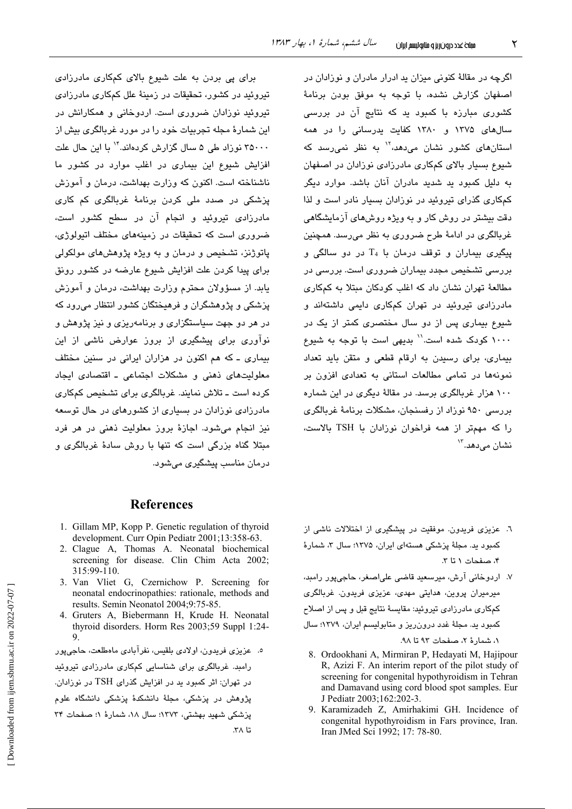اگرچه در مقالهٔ کنونی میزان ید ادرار مادران و نوزادان در اصفهان گزارش نشده، با توجه به موفق بودن برنامهٔ کشوری مبارزه با کمبود ید که نتایج آن در بررسی سالهای ۱۳۷۵ و ۱۳۸۰ کفایت پدرسانی را در همه استانهای کشور نشان می،دهد،<sup>۱۲</sup> به نظر نمی٫رسد که شیوع بسیار بالای کمکاری مادرزادی نوزادان در اصفهان به دلیل کمبود ید شدید مادران آنان باشد. موارد دیگر کمکاری گذرای تیروئید در نوزادان بسیار نادر است و لذا دقت بیشتر در روش کار و به ویژه روشهای آزمایشگاهی غربالگری در ادامهٔ طرح ضروری به نظر میرسد. همچنین  $_{14}$  پیگیری بیماران و توقف درمان با  $_{4}$  در دو سالگی و بررسی تشخیص مجدد بیماران ضروری است. بررسی در مطالعهٔ تهران نشان داد که اغلب کودکان مبتلا به کمکاری مادرزادی تیروئید در تهران کمکاری دایمی داشتهاند و شیوع بیماری پس از دو سال مختصری کمتر از یک در ۱۰۰۰ کودک شده است.'' بدیهی است با توجه به شیوع بیماری، برای رسیدن به ارقام قطعی و متقن باید تعداد .<br>نمونهها در تمامی مطالعات استانی به تعدادی افزون بر ۱۰۰ هزار غربالگری برسد. در مقالهٔ دیگری در این شماره بررسی ۹۵۰ نوزاد از رفسنجان، مشکلات برنامهٔ غربالگری را که مهمتر از همه فراخوان نوزادان یا TSH پالاست، نشان مے،دھد.<sup>۱۳</sup>

برای پی بردن به علت شیوع بالای کمکاری مادرزادی تیروئید در کشور، تحقیقات در زمینهٔ علل کمکاری مادرزادی تیروئید نوزادان ضروری است. اردوخانی و همکارانش در این شمارهٔ مجله تجربیات خود را در مورد غربالگری بیش از ۳۵۰۰۰ نوراد طی ۵ سال گزارش کردهاند.<sup>۱۴</sup> با این حال علت افزایش شیوع این بیماری در اغلب موارد در کشور ما ناشناخته است. اکنون که وزارت بهداشت، درمان و آموزش پزشکی در صدد ملی کردن برنامهٔ غربالگری کم کاری مادرزادی تیروئید و انجام آن در سطح کشور است، ضروری است که تحقیقات در زمینههای مختلف اتیولوژی، پاتوژنز، تشخیص و درمان و به ویژه پژوهشهای مولکولی برای پیدا کردن علت افزایش شیوع عارضه در کشور رونق یابد. از مسؤولان محترم وزارت بهداشت، درمان و آموزش پزشکی و پژوهشگران و فرهیختگان کشور انتظار میرود که در هر دو جهت سیاستگزاری و پرنامهریزی و نیز پژوهش و نوآوری برای پیشگیری از بروز عوارض ناشی از این بیماری ـ که هم اکنون در هزاران ایرانی در سنین مختلف معلولیتهای ذهنی و مشکلات اجتماعی ـ اقتصادی ایجاد کرده است ــ تلاش نمایند. غربالگری برای تشخیص کمکاری مادرزادی نوزادان در بسیاری از کشورهای در حال توسعه نيز انجام مي شود. اجازهٔ بروز معلولت ذهني در هر فرد مبتلا گناه بزرگی است که تنها با روش سادهٔ غربالگری و درمان مناسب پیشگیری میشود.

## **References**

- 1. Gillam MP, Kopp P. Genetic regulation of thyroid development. Curr Opin Pediatr 2001;13:358-63.
- 2. Clague A, Thomas A. Neonatal biochemical screening for disease. Clin Chim Acta 2002; 315:99-110.
- 3. Van Vliet G, Czernichow P. Screening for neonatal endocrinopathies: rationale, methods and results. Semin Neonatol 2004;9:75-85.
- 4. Gruters A, Biebermann H, Krude H. Neonatal thyroid disorders. Horm Res 2003;59 Suppl 1:24- $\mathbf{Q}$

٥. عزیزی فریدون، اولادی بلقیس، نفرآبادی ماهطلعت، حاجیپور رامبد. غربالگری برای شناسایی کمکاری مادرزادی تیروئید در تهران: اثر کمبود ید در افزایش گذرای TSH در نوزادان. پژوهش در پزشکی، مجلهٔ دانشکدهٔ پزشکی دانشگاه علوم یزشکی شهید بهشتی، ۱۳۷۳؛ سال ۱۸، شمارهٔ ۱؛ صفحات ۳۴  $\mathsf{r}\wedge\mathsf{t}$ :

- ٦. عزیزی فریدون موفقیت در پیشگیری از اختلالات ناشی از کمبود ید. مجلهٔ پزشکی هستهای ایران، ۱۳۷۵؛ سال ۳، شمارهٔ ۴، صفحات ١ تا ٣.
- ۷. اردوخانی آرش، میرسعید قاضی علیاصغر، حاجیپور رامبد، میرمیران پروین، هدایتی مهدی، عزیزی فریدون. غربالگری کمکاری مادرزادی تیروئید: مقایسهٔ نتایج قبل و پس از اصلاح کمبود ید. مجلهٔ غدد درون ریز و متابولیسم ایران، ۱۳۷۹؛ سال ١، شمارهٔ ٢، صفحات ٩٢ تا ٩٨.
	- 8. Ordookhani A, Mirmiran P, Hedayati M, Hajipour R, Azizi F. An interim report of the pilot study of screening for congenital hypothyroidism in Tehran and Damavand using cord blood spot samples. Eur J Pediatr 2003;162:202-3.
	- 9. Karamizadeh Z, Amirhakimi GH. Incidence of congenital hypothyroidism in Fars province, Iran. Iran JMed Sci 1992; 17: 78-80.